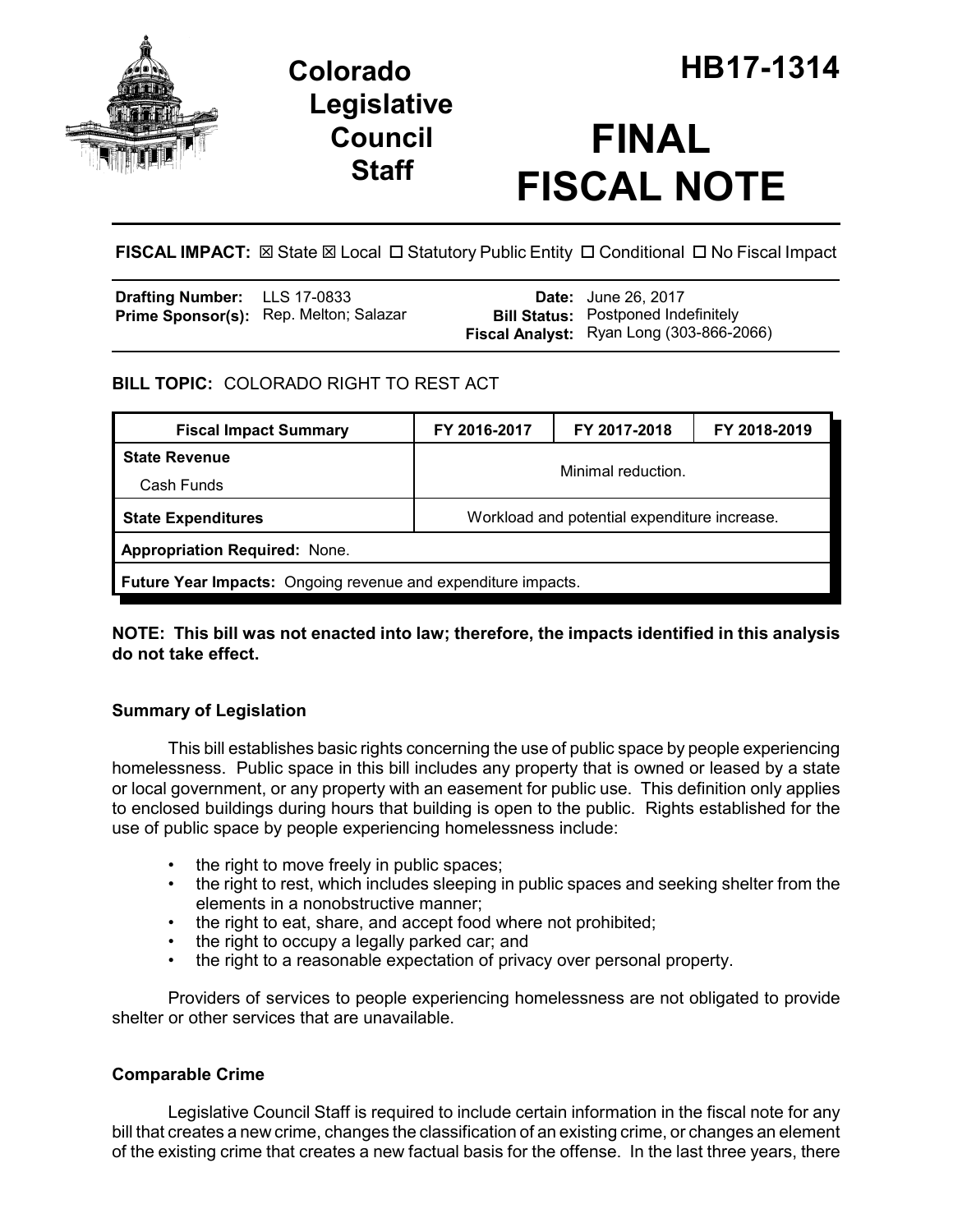

## **Legislative Council Staff**

# **FINAL FISCAL NOTE**

FISCAL IMPACT:  $\boxtimes$  State  $\boxtimes$  Local  $\Box$  Statutory Public Entity  $\Box$  Conditional  $\Box$  No Fiscal Impact

| <b>Drafting Number:</b> LLS 17-0833 |                                               | <b>Date:</b> June 26, 2017                      |
|-------------------------------------|-----------------------------------------------|-------------------------------------------------|
|                                     | <b>Prime Sponsor(s):</b> Rep. Melton; Salazar | <b>Bill Status:</b> Postponed Indefinitely      |
|                                     |                                               | <b>Fiscal Analyst:</b> Ryan Long (303-866-2066) |

## **BILL TOPIC:** COLORADO RIGHT TO REST ACT

| <b>Fiscal Impact Summary</b>                                         | FY 2016-2017                                 | FY 2017-2018 | FY 2018-2019 |  |  |
|----------------------------------------------------------------------|----------------------------------------------|--------------|--------------|--|--|
| <b>State Revenue</b>                                                 | Minimal reduction.                           |              |              |  |  |
| Cash Funds                                                           |                                              |              |              |  |  |
| <b>State Expenditures</b>                                            | Workload and potential expenditure increase. |              |              |  |  |
| <b>Appropriation Required: None.</b>                                 |                                              |              |              |  |  |
| <b>Future Year Impacts:</b> Ongoing revenue and expenditure impacts. |                                              |              |              |  |  |

## **NOTE: This bill was not enacted into law; therefore, the impacts identified in this analysis do not take effect.**

## **Summary of Legislation**

This bill establishes basic rights concerning the use of public space by people experiencing homelessness. Public space in this bill includes any property that is owned or leased by a state or local government, or any property with an easement for public use. This definition only applies to enclosed buildings during hours that building is open to the public. Rights established for the use of public space by people experiencing homelessness include:

- the right to move freely in public spaces;
- the right to rest, which includes sleeping in public spaces and seeking shelter from the elements in a nonobstructive manner;
- the right to eat, share, and accept food where not prohibited;
- the right to occupy a legally parked car; and
- the right to a reasonable expectation of privacy over personal property.

Providers of services to people experiencing homelessness are not obligated to provide shelter or other services that are unavailable.

## **Comparable Crime**

Legislative Council Staff is required to include certain information in the fiscal note for any bill that creates a new crime, changes the classification of an existing crime, or changes an element of the existing crime that creates a new factual basis for the offense. In the last three years, there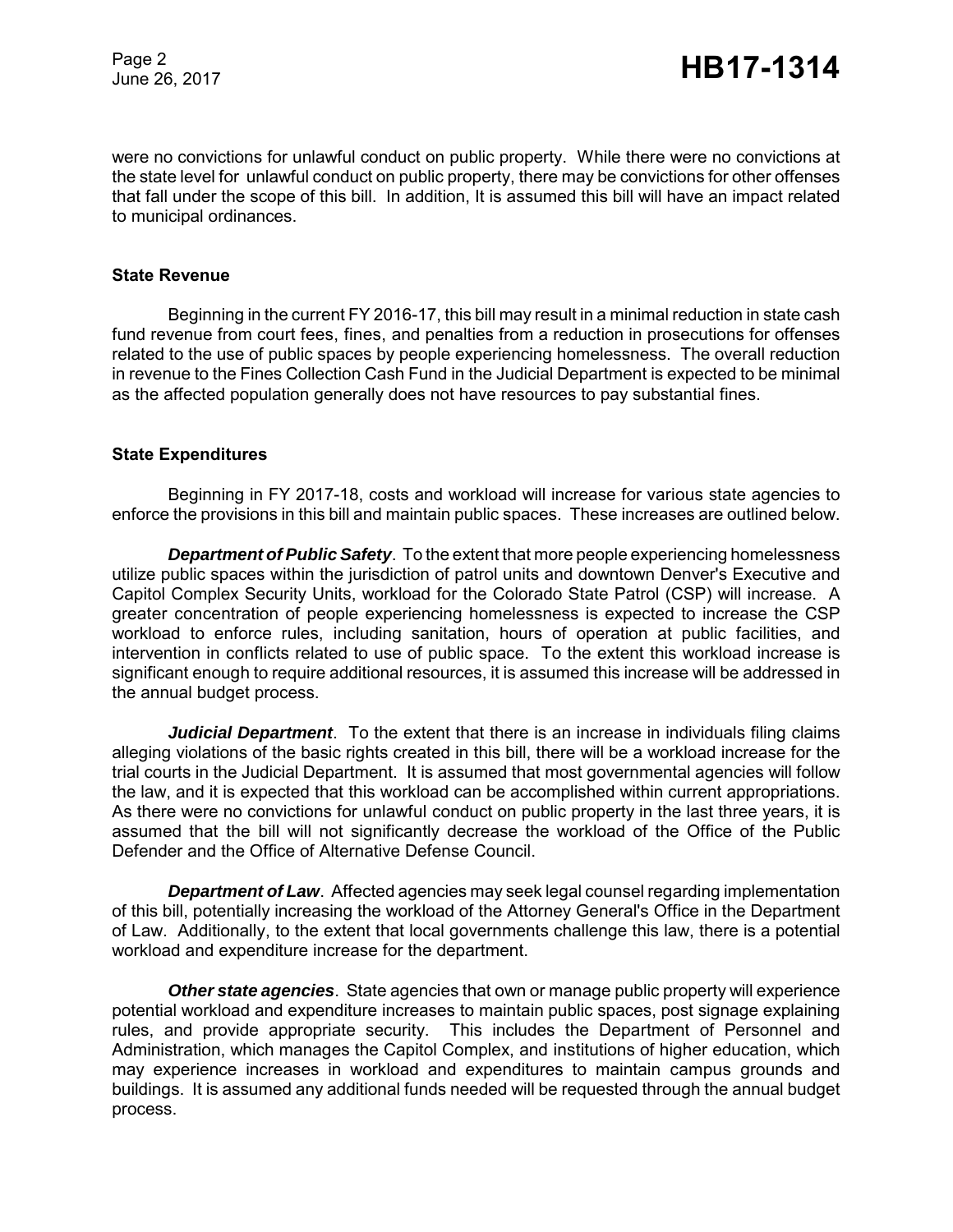Page 2

were no convictions for unlawful conduct on public property. While there were no convictions at the state level for unlawful conduct on public property, there may be convictions for other offenses that fall under the scope of this bill. In addition, It is assumed this bill will have an impact related to municipal ordinances.

#### **State Revenue**

Beginning in the current FY 2016-17, this bill may result in a minimal reduction in state cash fund revenue from court fees, fines, and penalties from a reduction in prosecutions for offenses related to the use of public spaces by people experiencing homelessness. The overall reduction in revenue to the Fines Collection Cash Fund in the Judicial Department is expected to be minimal as the affected population generally does not have resources to pay substantial fines.

#### **State Expenditures**

Beginning in FY 2017-18, costs and workload will increase for various state agencies to enforce the provisions in this bill and maintain public spaces. These increases are outlined below.

*Department of Public Safety*. To the extent that more people experiencing homelessness utilize public spaces within the jurisdiction of patrol units and downtown Denver's Executive and Capitol Complex Security Units, workload for the Colorado State Patrol (CSP) will increase. A greater concentration of people experiencing homelessness is expected to increase the CSP workload to enforce rules, including sanitation, hours of operation at public facilities, and intervention in conflicts related to use of public space. To the extent this workload increase is significant enough to require additional resources, it is assumed this increase will be addressed in the annual budget process.

*Judicial Department*. To the extent that there is an increase in individuals filing claims alleging violations of the basic rights created in this bill, there will be a workload increase for the trial courts in the Judicial Department. It is assumed that most governmental agencies will follow the law, and it is expected that this workload can be accomplished within current appropriations. As there were no convictions for unlawful conduct on public property in the last three years, it is assumed that the bill will not significantly decrease the workload of the Office of the Public Defender and the Office of Alternative Defense Council.

**Department of Law**. Affected agencies may seek legal counsel regarding implementation of this bill, potentially increasing the workload of the Attorney General's Office in the Department of Law. Additionally, to the extent that local governments challenge this law, there is a potential workload and expenditure increase for the department.

*Other state agencies*. State agencies that own or manage public property will experience potential workload and expenditure increases to maintain public spaces, post signage explaining rules, and provide appropriate security. This includes the Department of Personnel and Administration, which manages the Capitol Complex, and institutions of higher education, which may experience increases in workload and expenditures to maintain campus grounds and buildings. It is assumed any additional funds needed will be requested through the annual budget process.